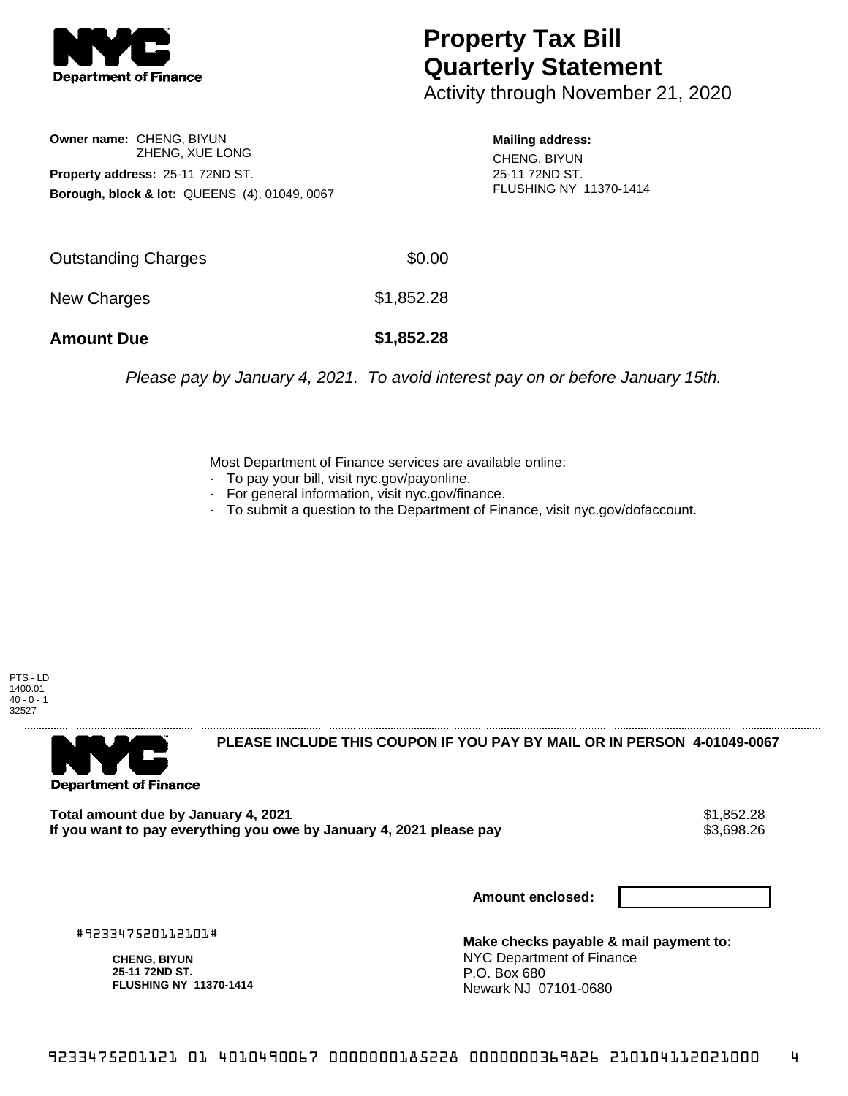

## **Property Tax Bill Quarterly Statement**

Activity through November 21, 2020

**Owner name:** CHENG, BIYUN ZHENG, XUE LONG **Property address:** 25-11 72ND ST. **Borough, block & lot:** QUEENS (4), 01049, 0067

**Mailing address:** CHENG, BIYUN 25-11 72ND ST. FLUSHING NY 11370-1414

| <b>Amount Due</b>   | \$1,852.28 |
|---------------------|------------|
| New Charges         | \$1,852.28 |
| Outstanding Charges | \$0.00     |

Please pay by January 4, 2021. To avoid interest pay on or before January 15th.

Most Department of Finance services are available online:

- · To pay your bill, visit nyc.gov/payonline.
- For general information, visit nyc.gov/finance.
- · To submit a question to the Department of Finance, visit nyc.gov/dofaccount.





**PLEASE INCLUDE THIS COUPON IF YOU PAY BY MAIL OR IN PERSON 4-01049-0067** 

**Total amount due by January 4, 2021**<br>If you want to pay everything you owe by January 4, 2021 please pay **strategy of the Superior August** \$3,698.26 If you want to pay everything you owe by January 4, 2021 please pay

**Amount enclosed:**

#923347520112101#

**CHENG, BIYUN 25-11 72ND ST. FLUSHING NY 11370-1414**

**Make checks payable & mail payment to:** NYC Department of Finance P.O. Box 680 Newark NJ 07101-0680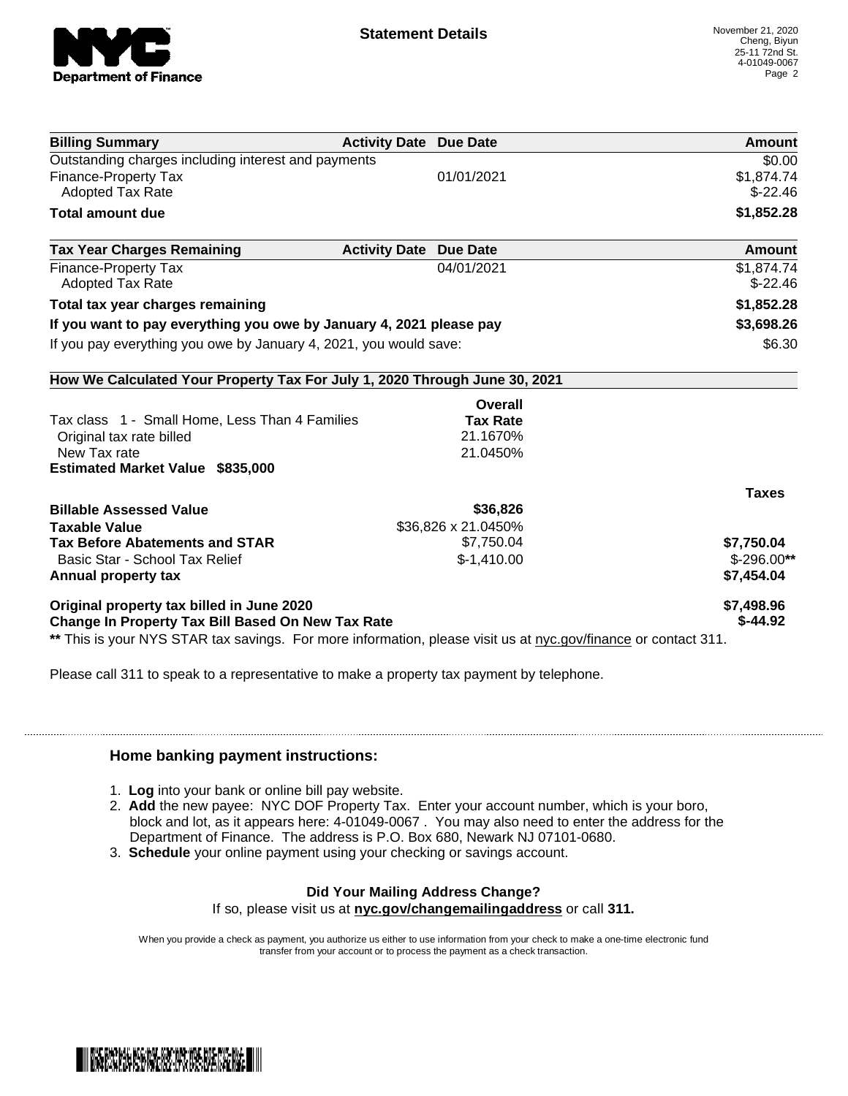

| <b>Billing Summary</b>                                                     | <b>Activity Date Due Date</b> | Amount        |
|----------------------------------------------------------------------------|-------------------------------|---------------|
| Outstanding charges including interest and payments                        |                               | \$0.00        |
| <b>Finance-Property Tax</b>                                                | 01/01/2021                    | \$1,874.74    |
| Adopted Tax Rate                                                           |                               | $$-22.46$     |
| <b>Total amount due</b>                                                    |                               | \$1,852.28    |
| <b>Tax Year Charges Remaining</b>                                          | <b>Activity Date Due Date</b> | <b>Amount</b> |
| <b>Finance-Property Tax</b>                                                | 04/01/2021                    | \$1,874.74    |
| <b>Adopted Tax Rate</b>                                                    |                               | $$-22.46$     |
| Total tax year charges remaining                                           |                               | \$1,852.28    |
| If you want to pay everything you owe by January 4, 2021 please pay        |                               | \$3,698.26    |
| If you pay everything you owe by January 4, 2021, you would save:          |                               | \$6.30        |
| How We Calculated Your Property Tax For July 1, 2020 Through June 30, 2021 |                               |               |
|                                                                            | Overall                       |               |
| Tax class 1 - Small Home, Less Than 4 Families                             | <b>Tax Rate</b>               |               |
| Original tax rate billed                                                   | 21.1670%                      |               |
| New Tax rate                                                               | 21.0450%                      |               |
| <b>Estimated Market Value \$835,000</b>                                    |                               |               |
|                                                                            |                               | <b>Taxes</b>  |
| <b>Billable Assessed Value</b>                                             | \$36,826                      |               |
| <b>Taxable Value</b>                                                       | \$36,826 x 21.0450%           |               |
| <b>Tax Before Abatements and STAR</b>                                      | \$7,750.04                    | \$7,750.04    |
| Basic Star - School Tax Relief                                             | $$-1,410.00$                  | $$-296.00**$  |
| Annual property tax                                                        |                               | \$7,454.04    |
| Original property tax billed in June 2020                                  |                               | \$7,498.96    |
| <b>Change In Property Tax Bill Based On New Tax Rate</b>                   |                               | $$-44.92$     |

Please call 311 to speak to a representative to make a property tax payment by telephone.

## **Home banking payment instructions:**

- 1. **Log** into your bank or online bill pay website.
- 2. **Add** the new payee: NYC DOF Property Tax. Enter your account number, which is your boro, block and lot, as it appears here: 4-01049-0067 . You may also need to enter the address for the Department of Finance. The address is P.O. Box 680, Newark NJ 07101-0680.
- 3. **Schedule** your online payment using your checking or savings account.

## **Did Your Mailing Address Change?**

If so, please visit us at **nyc.gov/changemailingaddress** or call **311.**

When you provide a check as payment, you authorize us either to use information from your check to make a one-time electronic fund transfer from your account or to process the payment as a check transaction.